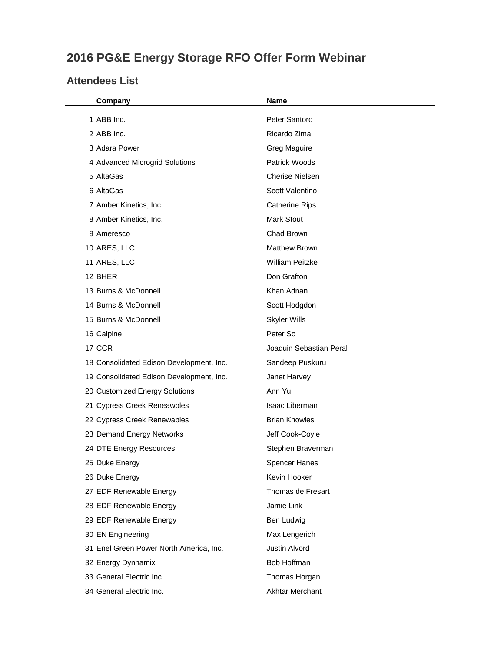## **2016 PG&E Energy Storage RFO Offer Form Webinar**

## **Attendees List**

| Company                                  | Name                    |
|------------------------------------------|-------------------------|
| 1 ABB Inc.                               | Peter Santoro           |
| 2 ABB Inc.                               | Ricardo Zima            |
| 3 Adara Power                            | <b>Greg Maguire</b>     |
| 4 Advanced Microgrid Solutions           | Patrick Woods           |
| 5 AltaGas                                | <b>Cherise Nielsen</b>  |
| 6 AltaGas                                | Scott Valentino         |
| 7 Amber Kinetics, Inc.                   | <b>Catherine Rips</b>   |
| 8 Amber Kinetics, Inc.                   | <b>Mark Stout</b>       |
| 9 Ameresco                               | Chad Brown              |
| 10 ARES, LLC                             | <b>Matthew Brown</b>    |
| 11 ARES, LLC                             | <b>William Peitzke</b>  |
| 12 BHER                                  | Don Grafton             |
| 13 Burns & McDonnell                     | Khan Adnan              |
| 14 Burns & McDonnell                     | Scott Hodgdon           |
| 15 Burns & McDonnell                     | <b>Skyler Wills</b>     |
| 16 Calpine                               | Peter So                |
| 17 CCR                                   | Joaquin Sebastian Peral |
| 18 Consolidated Edison Development, Inc. | Sandeep Puskuru         |
| 19 Consolidated Edison Development, Inc. | Janet Harvey            |
| 20 Customized Energy Solutions           | Ann Yu                  |
| 21 Cypress Creek Reneawbles              | Isaac Liberman          |
| 22 Cypress Creek Renewables              | <b>Brian Knowles</b>    |
| 23 Demand Energy Networks                | Jeff Cook-Coyle         |
| 24 DTE Energy Resources                  | Stephen Braverman       |
| 25 Duke Energy                           | <b>Spencer Hanes</b>    |
| 26 Duke Energy                           | Kevin Hooker            |
| 27 EDF Renewable Energy                  | Thomas de Fresart       |
| 28 EDF Renewable Energy                  | Jamie Link              |
| 29 EDF Renewable Energy                  | Ben Ludwig              |
| 30 EN Engineering                        | Max Lengerich           |
| 31 Enel Green Power North America, Inc.  | Justin Alvord           |
| 32 Energy Dynnamix                       | Bob Hoffman             |
| 33 General Electric Inc.                 | Thomas Horgan           |
| 34 General Electric Inc.                 | <b>Akhtar Merchant</b>  |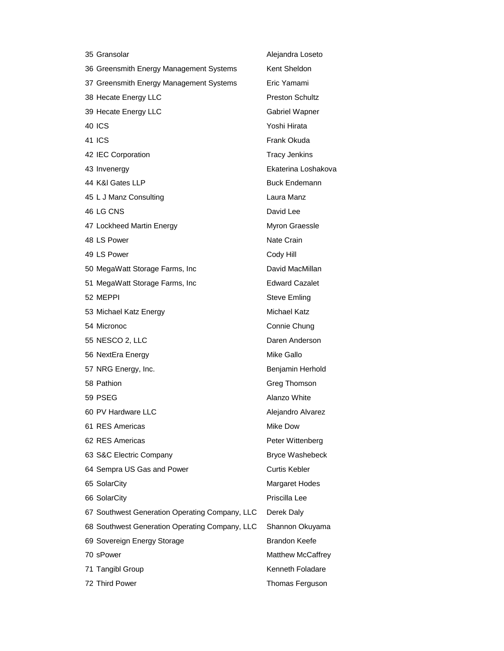| 35 Gransolar                                   | Alejandra Loseto       |
|------------------------------------------------|------------------------|
| 36 Greensmith Energy Management Systems        | Kent Sheldon           |
| 37 Greensmith Energy Management Systems        | Eric Yamami            |
| 38 Hecate Energy LLC                           | <b>Preston Schultz</b> |
| 39 Hecate Energy LLC                           | Gabriel Wapner         |
| 40 ICS                                         | Yoshi Hirata           |
| 41 ICS                                         | Frank Okuda            |
| 42 IEC Corporation                             | <b>Tracy Jenkins</b>   |
| 43 Invenergy                                   | Ekaterina Loshakova    |
| 44 K&I Gates LLP                               | <b>Buck Endemann</b>   |
| 45 L J Manz Consulting                         | Laura Manz             |
| 46 LG CNS                                      | David Lee              |
| 47 Lockheed Martin Energy                      | Myron Graessle         |
| 48 LS Power                                    | Nate Crain             |
| 49 LS Power                                    | Cody Hill              |
| 50 MegaWatt Storage Farms, Inc                 | David MacMillan        |
| 51 MegaWatt Storage Farms, Inc                 | <b>Edward Cazalet</b>  |
| 52 MEPPI                                       | <b>Steve Emling</b>    |
| 53 Michael Katz Energy                         | Michael Katz           |
| 54 Micronoc                                    | Connie Chung           |
| 55 NESCO 2, LLC                                | Daren Anderson         |
| 56 NextEra Energy                              | Mike Gallo             |
| 57 NRG Energy, Inc.                            | Benjamin Herhold       |
| 58 Pathion                                     | Greg Thomson           |
| 59 PSEG                                        | Alanzo White           |
| 60 PV Hardware LLC                             | Alejandro Alvarez      |
| 61 RES Americas                                | Mike Dow               |
| 62 RES Americas                                | Peter Wittenberg       |
| 63 S&C Electric Company                        | <b>Bryce Washebeck</b> |
| 64 Sempra US Gas and Power                     | <b>Curtis Kebler</b>   |
| 65 SolarCity                                   | <b>Margaret Hodes</b>  |
| 66 SolarCity                                   | Priscilla Lee          |
| 67 Southwest Generation Operating Company, LLC | Derek Daly             |
| 68 Southwest Generation Operating Company, LLC | Shannon Okuyama        |
| 69 Sovereign Energy Storage                    | <b>Brandon Keefe</b>   |
| 70 sPower                                      | Matthew McCaffrey      |
| 71 Tangibl Group                               | Kenneth Foladare       |
| 72 Third Power                                 | Thomas Ferguson        |